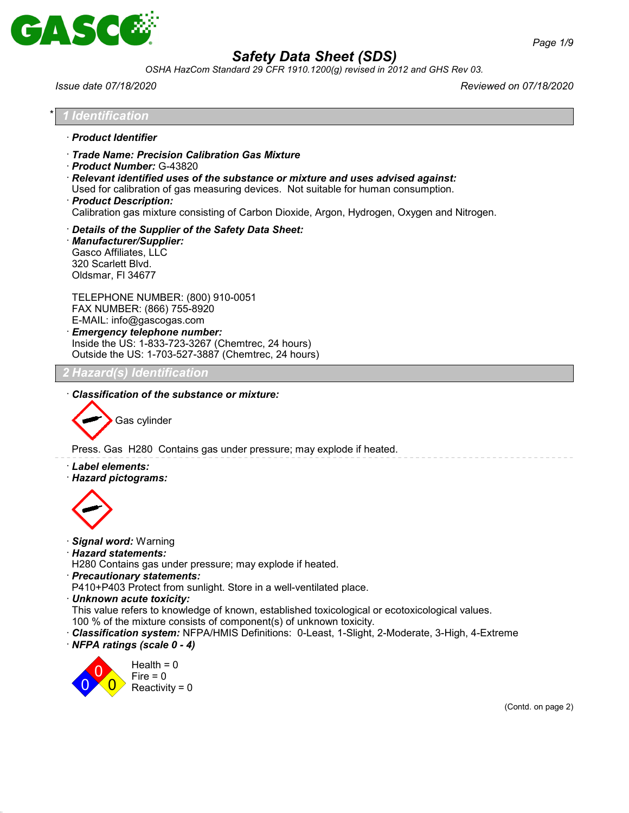

*OSHA HazCom Standard 29 CFR 1910.1200(g) revised in 2012 and GHS Rev 03.*

*Issue date 07/18/2020 Reviewed on 07/18/2020*

- \* *1 Identification* · *Product Identifier* · *Trade Name: Precision Calibration Gas Mixture* · *Product Number:* G-43820 · *Relevant identified uses of the substance or mixture and uses advised against:* Used for calibration of gas measuring devices. Not suitable for human consumption. · *Product Description:* Calibration gas mixture consisting of Carbon Dioxide, Argon, Hydrogen, Oxygen and Nitrogen.
	- · *Details of the Supplier of the Safety Data Sheet:*
	- · *Manufacturer/Supplier:* Gasco Affiliates, LLC 320 Scarlett Blvd. Oldsmar, Fl 34677

TELEPHONE NUMBER: (800) 910-0051 FAX NUMBER: (866) 755-8920 E-MAIL: info@gascogas.com · *Emergency telephone number:*

Inside the US: 1-833-723-3267 (Chemtrec, 24 hours) Outside the US: 1-703-527-3887 (Chemtrec, 24 hours)

# *2 Hazard(s) Identification*

· *Classification of the substance or mixture:*



Press. Gas H280 Contains gas under pressure; may explode if heated.

- · *Label elements:*
- · *Hazard pictograms:*



- · *Signal word:* Warning
- · *Hazard statements:*
- H280 Contains gas under pressure; may explode if heated.
- · *Precautionary statements:*

P410+P403 Protect from sunlight. Store in a well-ventilated place.

- · *Unknown acute toxicity:*
- This value refers to knowledge of known, established toxicological or ecotoxicological values.
- 100 % of the mixture consists of component(s) of unknown toxicity.
- · *Classification system:* NFPA/HMIS Definitions: 0-Least, 1-Slight, 2-Moderate, 3-High, 4-Extreme · *NFPA ratings (scale 0 - 4)*



(Contd. on page 2)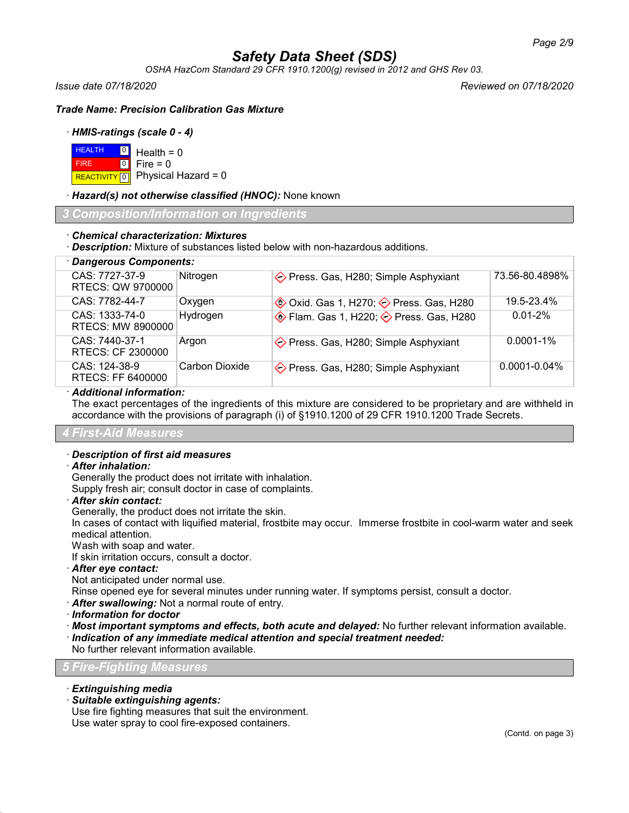*OSHA HazCom Standard 29 CFR 1910.1200(g) revised in 2012 and GHS Rev 03.*

*Issue date 07/18/2020 Reviewed on 07/18/2020*

*Trade Name: Precision Calibration Gas Mixture*

## · *HMIS-ratings (scale 0 - 4)*

| $H$ HEALTH $\boxed{0}$ Health = 0 |                                          |
|-----------------------------------|------------------------------------------|
| <b>FIRE</b>                       | $\blacksquare$ 0 $\blacksquare$ Fire = 0 |
|                                   | REACTIVITY 0 Physical Hazard = 0         |

### · *Hazard(s) not otherwise classified (HNOC):* None known

*3 Composition/Information on Ingredients*

### · *Chemical characterization: Mixtures*

· *Description:* Mixture of substances listed below with non-hazardous additions.

| · Dangerous Components:             |                |                                                                  |                   |
|-------------------------------------|----------------|------------------------------------------------------------------|-------------------|
| CAS: 7727-37-9<br>RTECS: QW 9700000 | Nitrogen       | ◆ Press. Gas, H280; Simple Asphyxiant                            | 73.56-80.4898%    |
| CAS: 7782-44-7                      | Oxygen         | <b>♦ Oxid. Gas 1, H270; ♦ Press. Gas, H280</b>                   | 19.5-23.4%        |
| CAS: 1333-74-0<br>RTECS: MW 8900000 | Hydrogen       | $\circledast$ Flam. Gas 1, H220; $\diamondsuit$ Press. Gas, H280 | $0.01 - 2\%$      |
| CAS: 7440-37-1<br>RTECS: CF 2300000 | Argon          | $\Diamond$ Press. Gas, H280; Simple Asphyxiant                   | $0.0001 - 1\%$    |
| CAS: 124-38-9<br>RTECS: FF 6400000  | Carbon Dioxide | ◆ Press. Gas, H280; Simple Asphyxiant                            | $0.0001 - 0.04\%$ |
|                                     |                |                                                                  |                   |

### · *Additional information:*

The exact percentages of the ingredients of this mixture are considered to be proprietary and are withheld in accordance with the provisions of paragraph (i) of §1910.1200 of 29 CFR 1910.1200 Trade Secrets.

## *4 First-Aid Measures*

#### · *Description of first aid measures*

### · *After inhalation:*

Generally the product does not irritate with inhalation.

Supply fresh air; consult doctor in case of complaints.

#### · *After skin contact:*

Generally, the product does not irritate the skin.

In cases of contact with liquified material, frostbite may occur. Immerse frostbite in cool-warm water and seek medical attention.

Wash with soap and water.

If skin irritation occurs, consult a doctor.

· *After eye contact:*

Not anticipated under normal use.

Rinse opened eye for several minutes under running water. If symptoms persist, consult a doctor.

· *After swallowing:* Not a normal route of entry.

· *Information for doctor*

· *Most important symptoms and effects, both acute and delayed:* No further relevant information available.

· *Indication of any immediate medical attention and special treatment needed:*

No further relevant information available.

# *5 Fire-Fighting Measures*

- · *Extinguishing media*
- · *Suitable extinguishing agents:*

Use fire fighting measures that suit the environment. Use water spray to cool fire-exposed containers.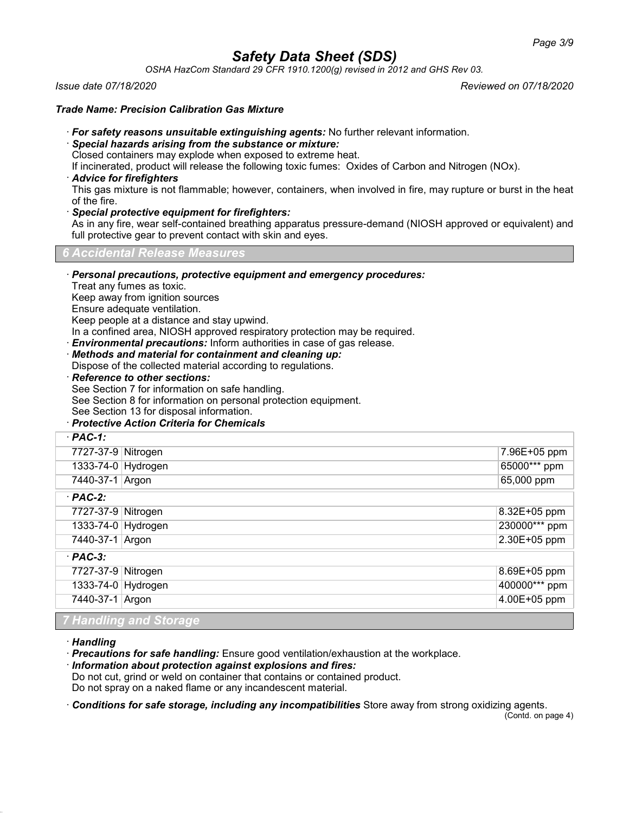*OSHA HazCom Standard 29 CFR 1910.1200(g) revised in 2012 and GHS Rev 03.*

*Issue date 07/18/2020 Reviewed on 07/18/2020*

## *Trade Name: Precision Calibration Gas Mixture*

- · *For safety reasons unsuitable extinguishing agents:* No further relevant information.
- · *Special hazards arising from the substance or mixture:*

Closed containers may explode when exposed to extreme heat.

If incinerated, product will release the following toxic fumes: Oxides of Carbon and Nitrogen (NOx).

· *Advice for firefighters*

This gas mixture is not flammable; however, containers, when involved in fire, may rupture or burst in the heat of the fire.

· *Special protective equipment for firefighters:*

As in any fire, wear self-contained breathing apparatus pressure-demand (NIOSH approved or equivalent) and full protective gear to prevent contact with skin and eyes.

*6 Accidental Release Measures*

· *Personal precautions, protective equipment and emergency procedures:*

Treat any fumes as toxic.

Keep away from ignition sources

Ensure adequate ventilation.

Keep people at a distance and stay upwind.

In a confined area, NIOSH approved respiratory protection may be required.

· *Environmental precautions:* Inform authorities in case of gas release.

· *Methods and material for containment and cleaning up:*

Dispose of the collected material according to regulations.

· *Reference to other sections:*

See Section 7 for information on safe handling.

See Section 8 for information on personal protection equipment.

See Section 13 for disposal information.

# · *Protective Action Criteria for Chemicals*

| $·$ PAC-1:         |                  |
|--------------------|------------------|
| 7727-37-9 Nitrogen | 7.96E+05 ppm     |
| 1333-74-0 Hydrogen | 65000*** ppm     |
| 7440-37-1 Argon    | 65,000 ppm       |
| $·$ PAC-2:         |                  |
| 7727-37-9 Nitrogen | $8.32E + 05$ ppm |
| 1333-74-0 Hydrogen | 230000*** ppm    |
| 7440-37-1 Argon    | 2.30E+05 ppm     |
| $·$ PAC-3:         |                  |
| 7727-37-9 Nitrogen | $8.69E + 05$ ppm |
| 1333-74-0 Hydrogen | 400000*** ppm    |
| 7440-37-1 Argon    | 4.00E+05 ppm     |
|                    |                  |

*7 Handling and Storage*

· *Handling*

· *Precautions for safe handling:* Ensure good ventilation/exhaustion at the workplace.

· *Information about protection against explosions and fires:*

Do not cut, grind or weld on container that contains or contained product.

Do not spray on a naked flame or any incandescent material.

· *Conditions for safe storage, including any incompatibilities* Store away from strong oxidizing agents.

(Contd. on page 4)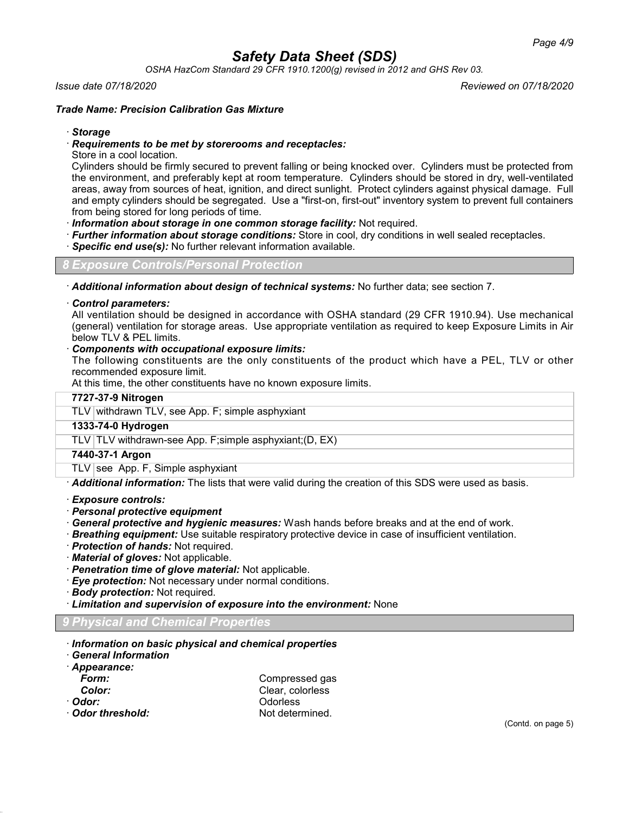*OSHA HazCom Standard 29 CFR 1910.1200(g) revised in 2012 and GHS Rev 03.*

### *Issue date 07/18/2020 Reviewed on 07/18/2020*

# *Trade Name: Precision Calibration Gas Mixture*

### · *Storage*

## · *Requirements to be met by storerooms and receptacles:*

Store in a cool location.

Cylinders should be firmly secured to prevent falling or being knocked over. Cylinders must be protected from the environment, and preferably kept at room temperature. Cylinders should be stored in dry, well-ventilated areas, away from sources of heat, ignition, and direct sunlight. Protect cylinders against physical damage. Full and empty cylinders should be segregated. Use a "first-on, first-out" inventory system to prevent full containers from being stored for long periods of time.

· *Information about storage in one common storage facility:* Not required.

- · *Further information about storage conditions:* Store in cool, dry conditions in well sealed receptacles.
- **Specific end use(s):** No further relevant information available.

*8 Exposure Controls/Personal Protection*

· *Additional information about design of technical systems:* No further data; see section 7.

#### · *Control parameters:*

All ventilation should be designed in accordance with OSHA standard (29 CFR 1910.94). Use mechanical (general) ventilation for storage areas. Use appropriate ventilation as required to keep Exposure Limits in Air below TLV & PEL limits.

### · *Components with occupational exposure limits:*

The following constituents are the only constituents of the product which have a PEL, TLV or other recommended exposure limit.

At this time, the other constituents have no known exposure limits.

| 7727-37-9 Nitrogen                                      |
|---------------------------------------------------------|
| TLV withdrawn TLV, see App. F; simple asphyxiant        |
| 1333-74-0 Hydrogen                                      |
| TLV TLV withdrawn-see App. F;simple asphyxiant; (D, EX) |
| 7440-37-1 Argon                                         |
| TLV see App. F, Simple asphyxiant                       |
|                                                         |

· *Additional information:* The lists that were valid during the creation of this SDS were used as basis.

- · *Exposure controls:*
- · *Personal protective equipment*
- · *General protective and hygienic measures:* Wash hands before breaks and at the end of work.
- · *Breathing equipment:* Use suitable respiratory protective device in case of insufficient ventilation.
- · *Protection of hands:* Not required.
- · *Material of gloves:* Not applicable.
- · *Penetration time of glove material:* Not applicable.
- · *Eye protection:* Not necessary under normal conditions.
- · *Body protection:* Not required.
- · *Limitation and supervision of exposure into the environment:* None

## *9 Physical and Chemical Properties*

- · *Information on basic physical and chemical properties*
- · *General Information*
- · *Appearance:*

| rorm:  | U  |
|--------|----|
| Color: | СI |
| ייממר  | ∩  |

- 
- · Odor threshold:

*Form:* Compressed gas lear, colorless · *Odor:* Odorless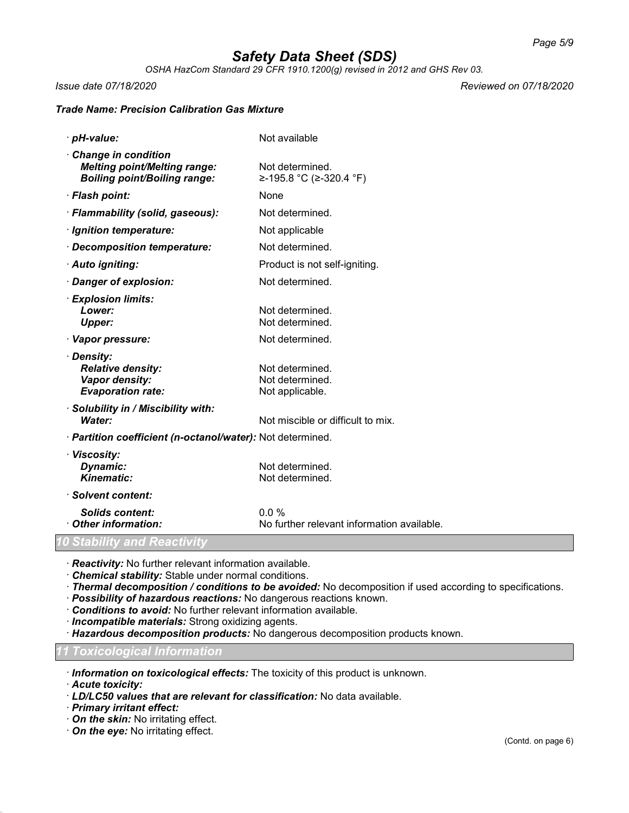*OSHA HazCom Standard 29 CFR 1910.1200(g) revised in 2012 and GHS Rev 03.*

*Issue date 07/18/2020 Reviewed on 07/18/2020*

### *Trade Name: Precision Calibration Gas Mixture*

· *pH-value:* Not available · *Change in condition Melting point/Melting range:* Not determined. *Boiling point/Boiling range:* ≥-195.8 °C (≥-320.4 °F) · *Flash point:* None · *Flammability (solid, gaseous):* Not determined. *Ignition temperature:* Not applicable · *Decomposition temperature:* Not determined. · *Auto igniting:* Product is not self-igniting. **· Danger of explosion:** Not determined. · *Explosion limits:* Not determined. **Upper:** Not determined. · **Vapor pressure:** Not determined. · *Density:* **Relative density:** Not determined.<br> **Vapor density:** Not determined. **Vapor density:** Not determined.<br> **Evaporation rate:** Not applicable. *Evaporation rate:* · *Solubility in / Miscibility with:* **Water:** Not miscible or difficult to mix. · *Partition coefficient (n-octanol/water):* Not determined. · *Viscosity:* **Dynamic:** Not determined.<br> **Kinematic:** Not determined *Kinematic:* Not determined. · *Solvent content: Solids content:* 0.0 % · *Other information:* No further relevant information available. *Stability and Reacti* 

· *Reactivity:* No further relevant information available.

· *Chemical stability:* Stable under normal conditions.

· *Thermal decomposition / conditions to be avoided:* No decomposition if used according to specifications.

· *Possibility of hazardous reactions:* No dangerous reactions known.

· *Conditions to avoid:* No further relevant information available.

· *Incompatible materials:* Strong oxidizing agents.

· *Hazardous decomposition products:* No dangerous decomposition products known.

*11 Toxicological Information*

· *Information on toxicological effects:* The toxicity of this product is unknown.

· *Acute toxicity:*

· *LD/LC50 values that are relevant for classification:* No data available.

· *Primary irritant effect:*

· *On the skin:* No irritating effect.

· *On the eye:* No irritating effect.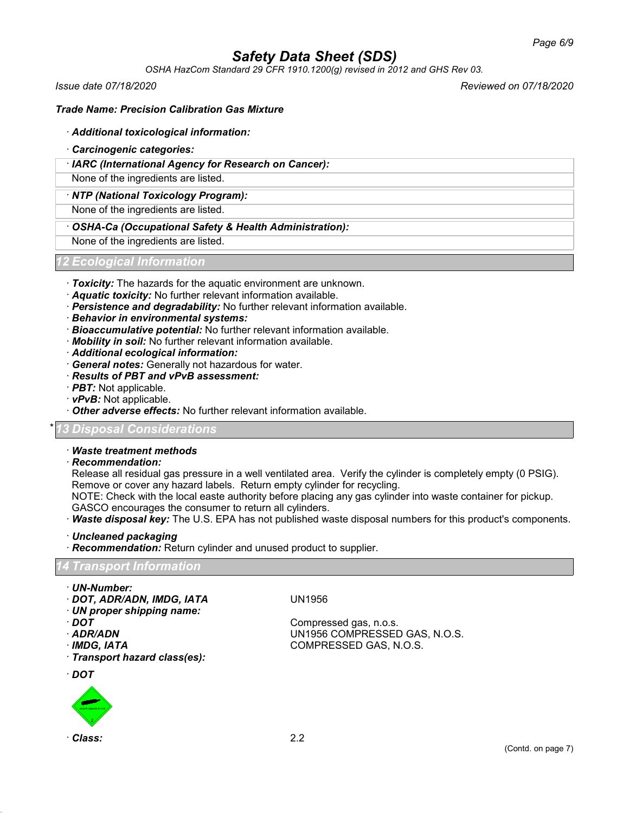*OSHA HazCom Standard 29 CFR 1910.1200(g) revised in 2012 and GHS Rev 03.*

*Issue date 07/18/2020 Reviewed on 07/18/2020*

# *Trade Name: Precision Calibration Gas Mixture*

## · *Additional toxicological information:*

- · *Carcinogenic categories:*
- · *IARC (International Agency for Research on Cancer):*

None of the ingredients are listed.

### · *NTP (National Toxicology Program):*

None of the ingredients are listed.

## · *OSHA-Ca (Occupational Safety & Health Administration):*

None of the ingredients are listed.

# *12 Ecological Information*

- · *Toxicity:* The hazards for the aquatic environment are unknown.
- · *Aquatic toxicity:* No further relevant information available.
- · *Persistence and degradability:* No further relevant information available.
- · *Behavior in environmental systems:*
- · *Bioaccumulative potential:* No further relevant information available.
- · *Mobility in soil:* No further relevant information available.
- · *Additional ecological information:*
- · *General notes:* Generally not hazardous for water.
- · *Results of PBT and vPvB assessment:*
- · *PBT:* Not applicable.
- · *vPvB:* Not applicable.
- · *Other adverse effects:* No further relevant information available.

# \* *13 Disposal Considerations*

### · *Waste treatment methods*

· *Recommendation:*

Release all residual gas pressure in a well ventilated area. Verify the cylinder is completely empty (0 PSIG). Remove or cover any hazard labels. Return empty cylinder for recycling.

NOTE: Check with the local easte authority before placing any gas cylinder into waste container for pickup. GASCO encourages the consumer to return all cylinders.

- · *Waste disposal key:* The U.S. EPA has not published waste disposal numbers for this product's components.
- · *Uncleaned packaging*
- · *Recommendation:* Return cylinder and unused product to supplier.

#### *14 Transport Information*

- · *UN-Number:*
- · *DOT, ADR/ADN, IMDG, IATA* UN1956
- · *UN proper shipping name:*
- 
- 
- 

· *Transport hazard class(es):*

· *DOT*



Compressed gas, n.o.s. · *ADR/ADN* UN1956 COMPRESSED GAS, N.O.S. · *IMDG, IATA* COMPRESSED GAS, N.O.S.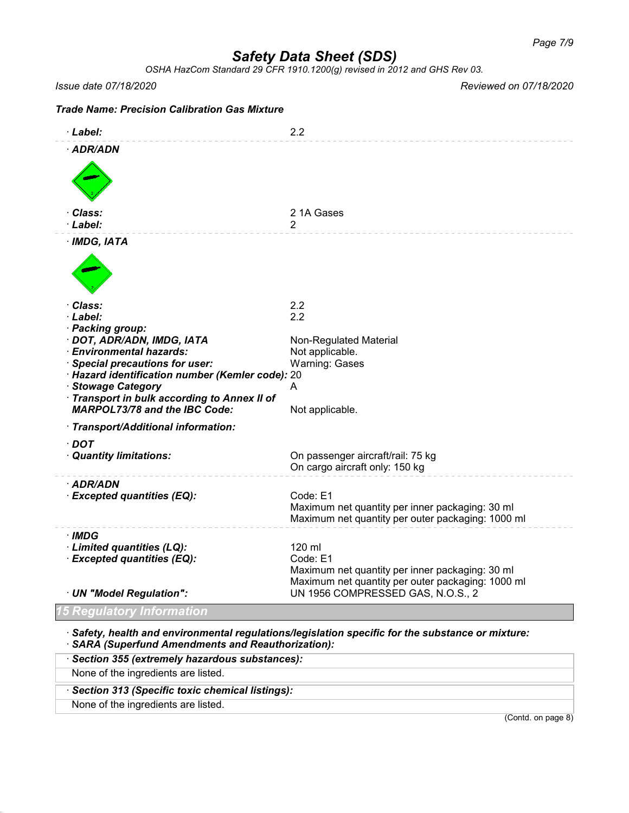*OSHA HazCom Standard 29 CFR 1910.1200(g) revised in 2012 and GHS Rev 03.*

*Issue date 07/18/2020 Reviewed on 07/18/2020*

(Contd. on page 8)

| <b>Trade Name: Precision Calibration Gas Mixture</b>                                                                                                                                                                                                        |                                                                                                                                                                 |
|-------------------------------------------------------------------------------------------------------------------------------------------------------------------------------------------------------------------------------------------------------------|-----------------------------------------------------------------------------------------------------------------------------------------------------------------|
| · Label:                                                                                                                                                                                                                                                    | 2.2                                                                                                                                                             |
| · ADR/ADN                                                                                                                                                                                                                                                   |                                                                                                                                                                 |
| · Class:<br>· Label:                                                                                                                                                                                                                                        | 21A Gases<br>2                                                                                                                                                  |
| $·$ IMDG, IATA                                                                                                                                                                                                                                              |                                                                                                                                                                 |
| · Class:<br>· Label:<br>· Packing group:                                                                                                                                                                                                                    | 2.2<br>2.2                                                                                                                                                      |
| · DOT, ADR/ADN, IMDG, IATA<br>· Environmental hazards:<br>· Special precautions for user:<br>· Hazard identification number (Kemler code): 20<br>· Stowage Category<br>· Transport in bulk according to Annex II of<br><b>MARPOL73/78 and the IBC Code:</b> | Non-Regulated Material<br>Not applicable.<br><b>Warning: Gases</b><br>A<br>Not applicable.                                                                      |
| · Transport/Additional information:                                                                                                                                                                                                                         |                                                                                                                                                                 |
| · DOT<br>· Quantity limitations:                                                                                                                                                                                                                            | On passenger aircraft/rail: 75 kg<br>On cargo aircraft only: 150 kg                                                                                             |
| · ADR/ADN<br>· Excepted quantities (EQ):                                                                                                                                                                                                                    | Code: E1<br>Maximum net quantity per inner packaging: 30 ml<br>Maximum net quantity per outer packaging: 1000 ml                                                |
| · IMDG<br>· Limited quantities (LQ):<br>· Excepted quantities (EQ):<br>· UN "Model Regulation":                                                                                                                                                             | 120 ml<br>Code: E1<br>Maximum net quantity per inner packaging: 30 ml<br>Maximum net quantity per outer packaging: 1000 ml<br>UN 1956 COMPRESSED GAS, N.O.S., 2 |
| qulatory Information                                                                                                                                                                                                                                        |                                                                                                                                                                 |
| $\cdot$ Safety, health and environmental regulations/legislation specific for the substance or mixture:                                                                                                                                                     |                                                                                                                                                                 |

· *SARA (Superfund Amendments and Reauthorization):*

· *Section 355 (extremely hazardous substances):*

· *Section 313 (Specific toxic chemical listings):*

None of the ingredients are listed.

None of the ingredients are listed.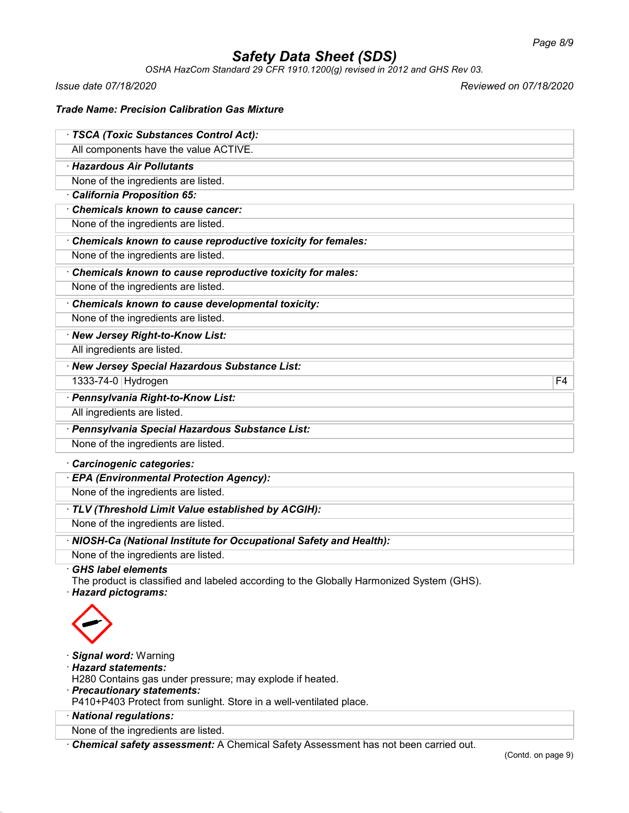*OSHA HazCom Standard 29 CFR 1910.1200(g) revised in 2012 and GHS Rev 03.*

*Issue date 07/18/2020 Reviewed on 07/18/2020*

# *Trade Name: Precision Calibration Gas Mixture*

| · TSCA (Toxic Substances Control Act):                                                                                                        |                |
|-----------------------------------------------------------------------------------------------------------------------------------------------|----------------|
| All components have the value ACTIVE.                                                                                                         |                |
| · Hazardous Air Pollutants                                                                                                                    |                |
| None of the ingredients are listed.                                                                                                           |                |
| California Proposition 65:                                                                                                                    |                |
| Chemicals known to cause cancer:                                                                                                              |                |
| None of the ingredients are listed.                                                                                                           |                |
| Chemicals known to cause reproductive toxicity for females:                                                                                   |                |
| None of the ingredients are listed.                                                                                                           |                |
| Chemicals known to cause reproductive toxicity for males:                                                                                     |                |
| None of the ingredients are listed.                                                                                                           |                |
| Chemicals known to cause developmental toxicity:                                                                                              |                |
| None of the ingredients are listed.                                                                                                           |                |
| · New Jersey Right-to-Know List:                                                                                                              |                |
| All ingredients are listed.                                                                                                                   |                |
| · New Jersey Special Hazardous Substance List:                                                                                                |                |
| 1333-74-0 Hydrogen                                                                                                                            | F <sub>4</sub> |
| · Pennsylvania Right-to-Know List:                                                                                                            |                |
| All ingredients are listed.                                                                                                                   |                |
| · Pennsylvania Special Hazardous Substance List:                                                                                              |                |
| None of the ingredients are listed.                                                                                                           |                |
| Carcinogenic categories:                                                                                                                      |                |
| · EPA (Environmental Protection Agency):                                                                                                      |                |
| None of the ingredients are listed.                                                                                                           |                |
| · TLV (Threshold Limit Value established by ACGIH):                                                                                           |                |
| None of the ingredients are listed.                                                                                                           |                |
| · NIOSH-Ca (National Institute for Occupational Safety and Health):                                                                           |                |
| None of the ingredients are listed.                                                                                                           |                |
| <b>GHS label elements</b><br>The product is classified and labeled according to the Globally Harmonized System (GHS).<br>· Hazard pictograms: |                |
|                                                                                                                                               |                |
| · Signal word: Warning<br>· Hazard statements:<br>H280 Contains gas under pressure; may explode if heated.<br>· Precautionary statements:     |                |

P410+P403 Protect from sunlight. Store in a well-ventilated place.

· *National regulations:*

None of the ingredients are listed.

· *Chemical safety assessment:* A Chemical Safety Assessment has not been carried out.